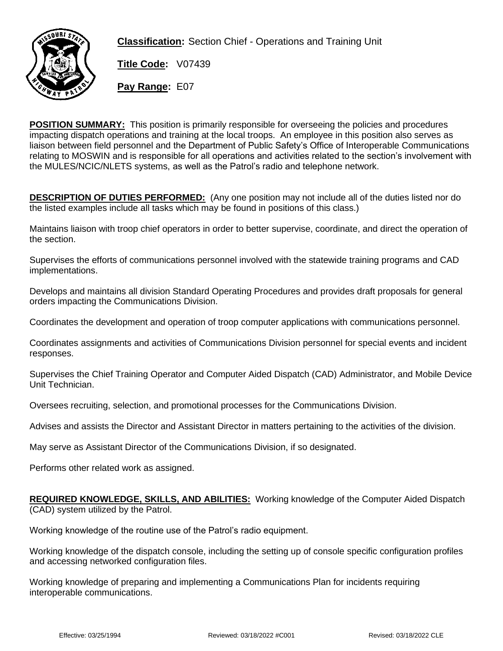

**Classification:** Section Chief - Operations and Training Unit

**Title Code:** V07439 **Pay Range:** E07

**POSITION SUMMARY:** This position is primarily responsible for overseeing the policies and procedures impacting dispatch operations and training at the local troops. An employee in this position also serves as liaison between field personnel and the Department of Public Safety's Office of Interoperable Communications relating to MOSWIN and is responsible for all operations and activities related to the section's involvement with the MULES/NCIC/NLETS systems, as well as the Patrol's radio and telephone network.

**DESCRIPTION OF DUTIES PERFORMED:** (Any one position may not include all of the duties listed nor do the listed examples include all tasks which may be found in positions of this class.)

Maintains liaison with troop chief operators in order to better supervise, coordinate, and direct the operation of the section.

Supervises the efforts of communications personnel involved with the statewide training programs and CAD implementations.

Develops and maintains all division Standard Operating Procedures and provides draft proposals for general orders impacting the Communications Division.

Coordinates the development and operation of troop computer applications with communications personnel.

Coordinates assignments and activities of Communications Division personnel for special events and incident responses.

Supervises the Chief Training Operator and Computer Aided Dispatch (CAD) Administrator, and Mobile Device Unit Technician.

Oversees recruiting, selection, and promotional processes for the Communications Division.

Advises and assists the Director and Assistant Director in matters pertaining to the activities of the division.

May serve as Assistant Director of the Communications Division, if so designated.

Performs other related work as assigned.

## **REQUIRED KNOWLEDGE, SKILLS, AND ABILITIES:** Working knowledge of the Computer Aided Dispatch (CAD) system utilized by the Patrol.

Working knowledge of the routine use of the Patrol's radio equipment.

Working knowledge of the dispatch console, including the setting up of console specific configuration profiles and accessing networked configuration files.

Working knowledge of preparing and implementing a Communications Plan for incidents requiring interoperable communications.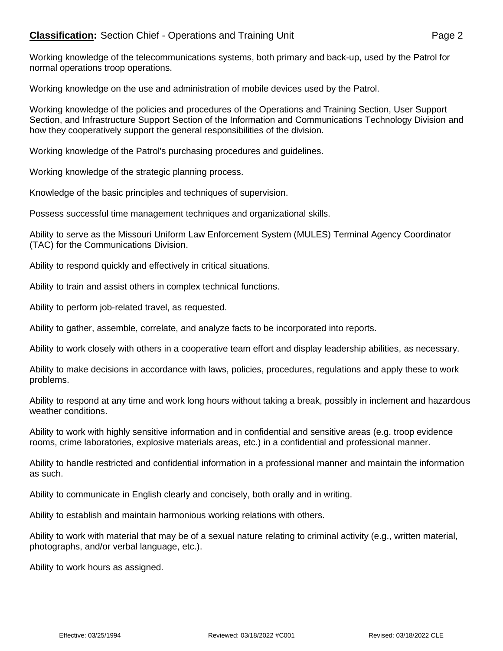## **Classification:** Section Chief - Operations and Training Unit **Page 2** Page 2

Working knowledge of the telecommunications systems, both primary and back-up, used by the Patrol for normal operations troop operations.

Working knowledge on the use and administration of mobile devices used by the Patrol.

Working knowledge of the policies and procedures of the Operations and Training Section, User Support Section, and Infrastructure Support Section of the Information and Communications Technology Division and how they cooperatively support the general responsibilities of the division.

Working knowledge of the Patrol's purchasing procedures and guidelines.

Working knowledge of the strategic planning process.

Knowledge of the basic principles and techniques of supervision.

Possess successful time management techniques and organizational skills.

Ability to serve as the Missouri Uniform Law Enforcement System (MULES) Terminal Agency Coordinator (TAC) for the Communications Division.

Ability to respond quickly and effectively in critical situations.

Ability to train and assist others in complex technical functions.

Ability to perform job-related travel, as requested.

Ability to gather, assemble, correlate, and analyze facts to be incorporated into reports.

Ability to work closely with others in a cooperative team effort and display leadership abilities, as necessary.

Ability to make decisions in accordance with laws, policies, procedures, regulations and apply these to work problems.

Ability to respond at any time and work long hours without taking a break, possibly in inclement and hazardous weather conditions.

Ability to work with highly sensitive information and in confidential and sensitive areas (e.g. troop evidence rooms, crime laboratories, explosive materials areas, etc.) in a confidential and professional manner.

Ability to handle restricted and confidential information in a professional manner and maintain the information as such.

Ability to communicate in English clearly and concisely, both orally and in writing.

Ability to establish and maintain harmonious working relations with others.

Ability to work with material that may be of a sexual nature relating to criminal activity (e.g., written material, photographs, and/or verbal language, etc.).

Ability to work hours as assigned.